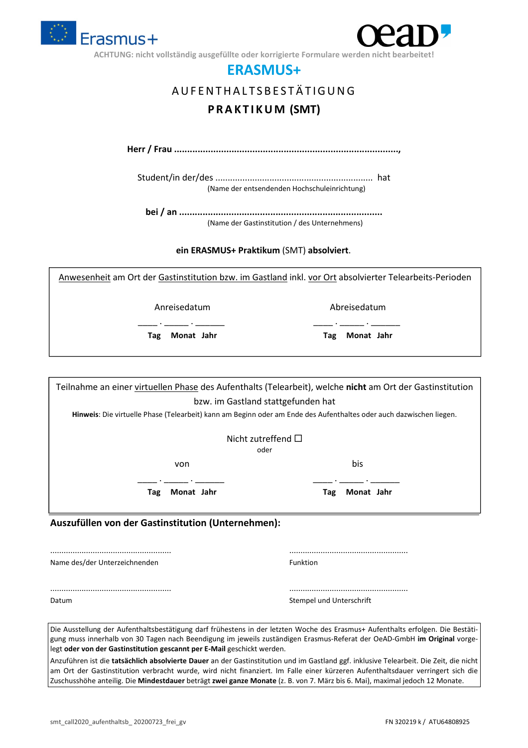

ACHTUNG: nicht vollständig ausgefüllte oder korrigierte Formulare werden nicht

### **ERASMUS+**

## A U F E N T H A L T S B E S T Ä T I G U N G **P R A K T I K U M (SMT)**

**Herr / Frau ......................................................................................,** 

Student/in der/des ................................................................ hat (Name der entsendenden Hochschuleinrichtung)

**bei / an ..............................................................................**  (Name der Gastinstitution / des Unternehmens)

**ein ERASMUS+ Praktikum** (SMT) **absolviert**.

Anwesenheit am Ort der Gastinstitution bzw. im Gastland inkl. vor Ort absolvierter Telearbeits-Perioden

\_\_\_\_ . \_\_\_\_\_ . \_\_\_\_\_\_. \_\_\_\_ . \_\_\_\_\_ . \_\_\_\_\_\_.

Anreisedatum Abreisedatum

**Tag Monat Jahr Tag Monat Jahr** 

Teilnahme an einer virtuellen Phase des Aufenthalts (Telearbeit), welche **nicht** am Ort der Gastinstitution bzw. im Gastland stattgefunden hat

**Hinweis**: Die virtuelle Phase (Telearbeit) kann am Beginn oder am Ende des Aufenthaltes oder auch dazwischen liegen.

| Nicht zutreffend $\Box$ |  |
|-------------------------|--|
| oder                    |  |

von bis bis de la posta de la posta de la posta de la posta de la posta de la posta de la posta de la posta de

 $\mathcal{L} = \{ \mathcal{L}_1, \ldots, \mathcal{L}_n \}$  .  $\mathcal{L}_1, \ldots, \mathcal{L}_n$  .  $\mathcal{L}_n$  .  $\mathcal{L}_n$  .  $\mathcal{L}_n$  .  $\mathcal{L}_n$  .  $\mathcal{L}_n$ 

**Tag Monat Jahr Tag Monat Jahr** 

#### **Auszufüllen von der Gastinstitution (Unternehmen):**

...................................................... ..................................................... Name des/der Unterzeichnenden Funktion Funktion

...................................................... ..................................................... Datum Stempel und Unterschrift

| لتكثير والممتمع والمالي ويرود المسموم والكار |  |
|----------------------------------------------|--|

Die Ausstellung der Aufenthaltsbestätigung darf frühestens in der letzten Woche des Erasmus+ Aufenthalts erfolgen. Die Bestätigung muss innerhalb von 30 Tagen nach Beendigung im jeweils zuständigen Erasmus-Referat der OeAD-GmbH **im Original** vorgelegt **oder von der Gastinstitution gescannt per E-Mail** geschickt werden.

Anzuführen ist die **tatsächlich absolvierte Dauer** an der Gastinstitution und im Gastland ggf. inklusive Telearbeit. Die Zeit, die nicht am Ort der Gastinstitution verbracht wurde, wird nicht finanziert. Im Falle einer kürzeren Aufenthaltsdauer verringert sich die Zuschusshöhe anteilig. Die **Mindestdauer** beträgt **zwei ganze Monate** (z. B. von 7. März bis 6. Mai), maximal jedoch 12 Monate.